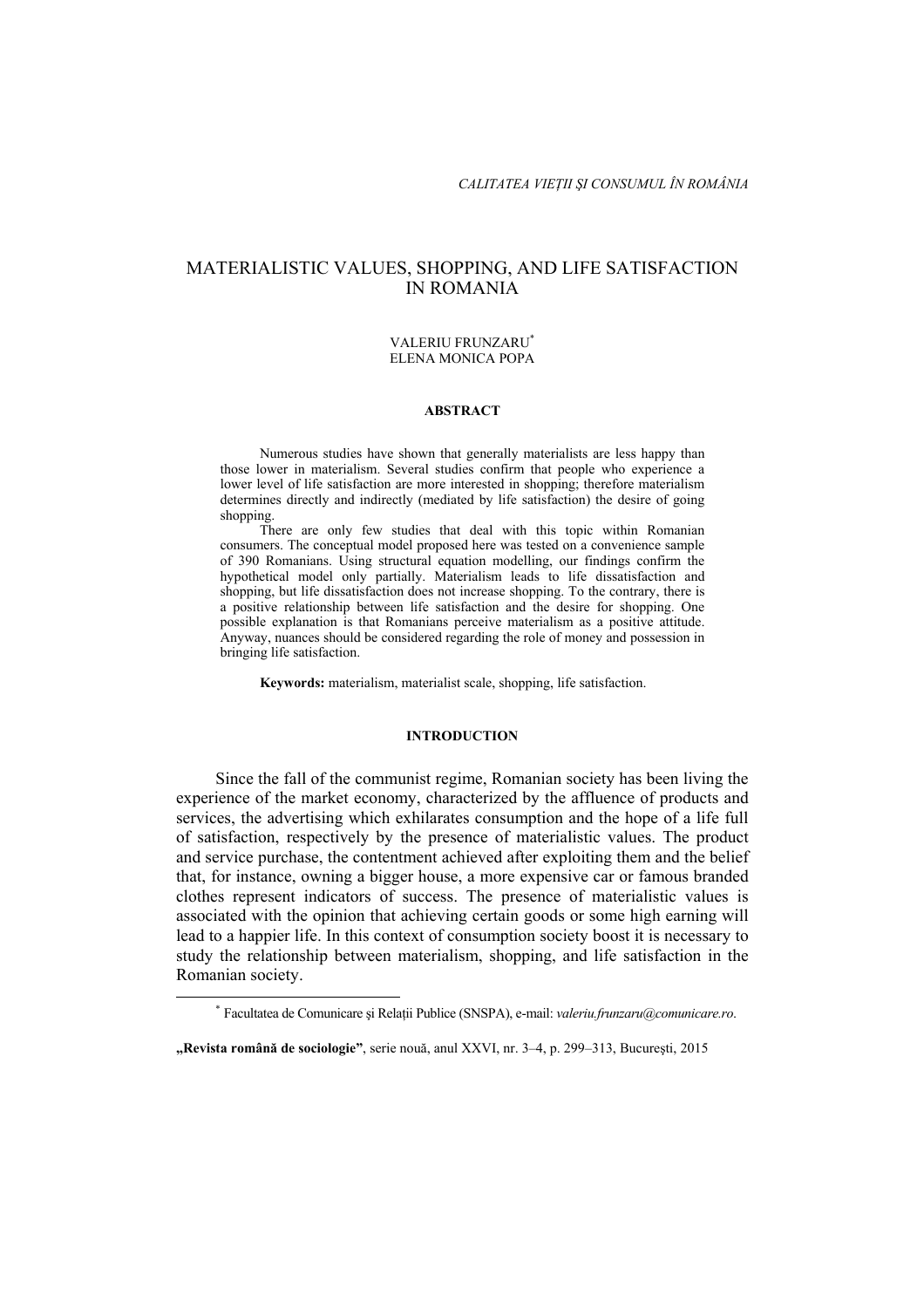# MATERIALISTIC VALUES, SHOPPING, AND LIFE SATISFACTION IN ROMANIA

### VALERIU FRUNZARU\* ELENA MONICA POPA

### **ABSTRACT**

Numerous studies have shown that generally materialists are less happy than those lower in materialism. Several studies confirm that people who experience a lower level of life satisfaction are more interested in shopping; therefore materialism determines directly and indirectly (mediated by life satisfaction) the desire of going shopping.

There are only few studies that deal with this topic within Romanian consumers. The conceptual model proposed here was tested on a convenience sample of 390 Romanians. Using structural equation modelling, our findings confirm the hypothetical model only partially. Materialism leads to life dissatisfaction and shopping, but life dissatisfaction does not increase shopping. To the contrary, there is a positive relationship between life satisfaction and the desire for shopping. One possible explanation is that Romanians perceive materialism as a positive attitude. Anyway, nuances should be considered regarding the role of money and possession in bringing life satisfaction.

**Keywords:** materialism, materialist scale, shopping, life satisfaction.

#### **INTRODUCTION**

Since the fall of the communist regime, Romanian society has been living the experience of the market economy, characterized by the affluence of products and services, the advertising which exhilarates consumption and the hope of a life full of satisfaction, respectively by the presence of materialistic values. The product and service purchase, the contentment achieved after exploiting them and the belief that, for instance, owning a bigger house, a more expensive car or famous branded clothes represent indicators of success. The presence of materialistic values is associated with the opinion that achieving certain goods or some high earning will lead to a happier life. In this context of consumption society boost it is necessary to study the relationship between materialism, shopping, and life satisfaction in the Romanian society.

 \* Facultatea de Comunicare şi Relaţii Publice (SNSPA), e-mail: *valeriu.frunzaru@comunicare.ro*.

**<sup>&</sup>quot;Revista română de sociologie"**, serie nouă, anul XXVI, nr. 3–4, p. 299–313, Bucureşti, 2015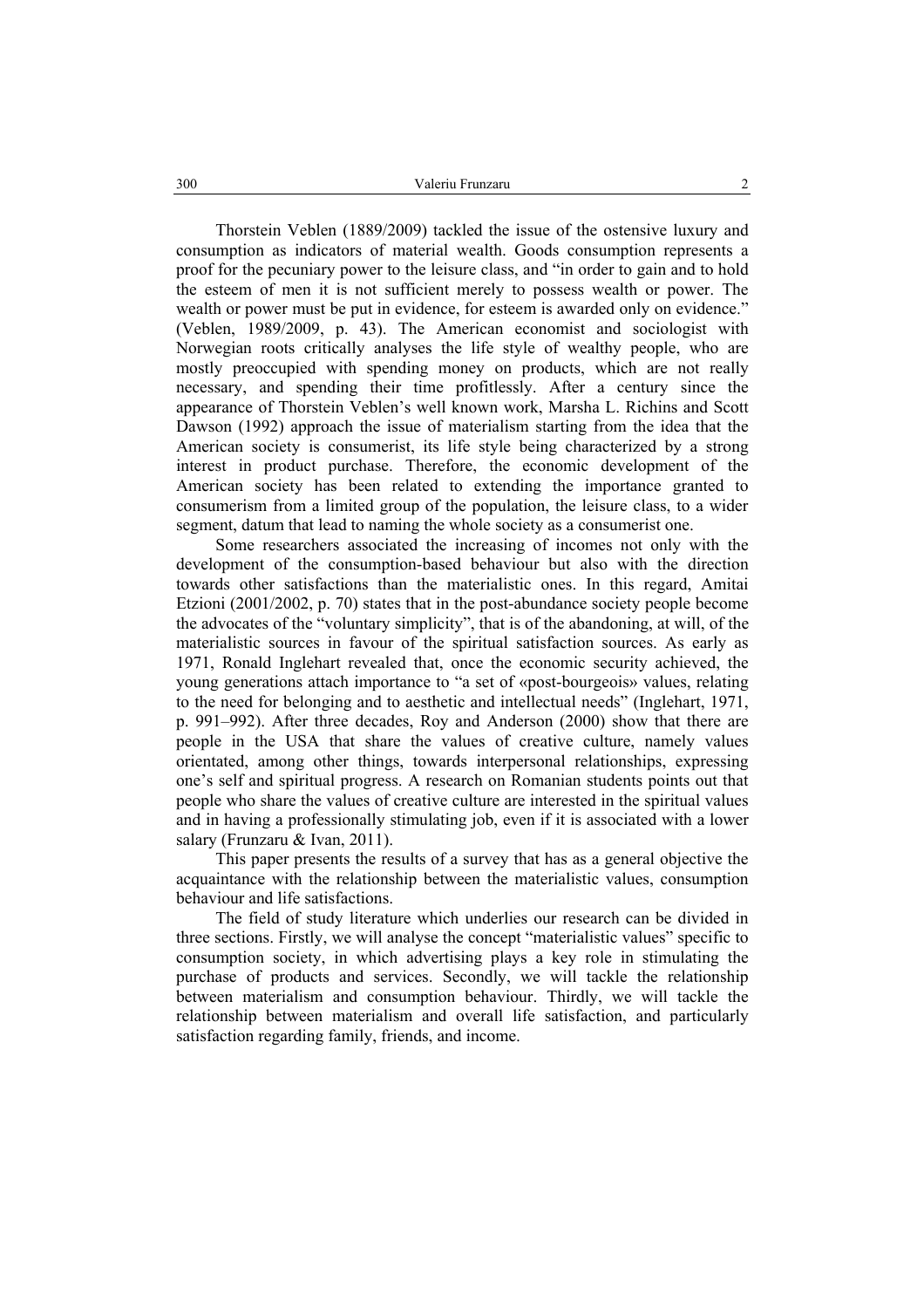Thorstein Veblen (1889/2009) tackled the issue of the ostensive luxury and consumption as indicators of material wealth. Goods consumption represents a proof for the pecuniary power to the leisure class, and "in order to gain and to hold the esteem of men it is not sufficient merely to possess wealth or power. The wealth or power must be put in evidence, for esteem is awarded only on evidence." (Veblen, 1989/2009, p. 43). The American economist and sociologist with Norwegian roots critically analyses the life style of wealthy people, who are mostly preoccupied with spending money on products, which are not really necessary, and spending their time profitlessly. After a century since the appearance of Thorstein Veblen's well known work, Marsha L. Richins and Scott Dawson (1992) approach the issue of materialism starting from the idea that the American society is consumerist, its life style being characterized by a strong interest in product purchase. Therefore, the economic development of the American society has been related to extending the importance granted to consumerism from a limited group of the population, the leisure class, to a wider segment, datum that lead to naming the whole society as a consumerist one.

Some researchers associated the increasing of incomes not only with the development of the consumption-based behaviour but also with the direction towards other satisfactions than the materialistic ones. In this regard, Amitai Etzioni (2001/2002, p. 70) states that in the post-abundance society people become the advocates of the "voluntary simplicity", that is of the abandoning, at will, of the materialistic sources in favour of the spiritual satisfaction sources. As early as 1971, Ronald Inglehart revealed that, once the economic security achieved, the young generations attach importance to "a set of «post-bourgeois» values, relating to the need for belonging and to aesthetic and intellectual needs" (Inglehart, 1971, p. 991–992). After three decades, Roy and Anderson (2000) show that there are people in the USA that share the values of creative culture, namely values orientated, among other things, towards interpersonal relationships, expressing one's self and spiritual progress. A research on Romanian students points out that people who share the values of creative culture are interested in the spiritual values and in having a professionally stimulating job, even if it is associated with a lower salary (Frunzaru & Ivan, 2011).

This paper presents the results of a survey that has as a general objective the acquaintance with the relationship between the materialistic values, consumption behaviour and life satisfactions.

The field of study literature which underlies our research can be divided in three sections. Firstly, we will analyse the concept "materialistic values" specific to consumption society, in which advertising plays a key role in stimulating the purchase of products and services. Secondly, we will tackle the relationship between materialism and consumption behaviour. Thirdly, we will tackle the relationship between materialism and overall life satisfaction, and particularly satisfaction regarding family, friends, and income.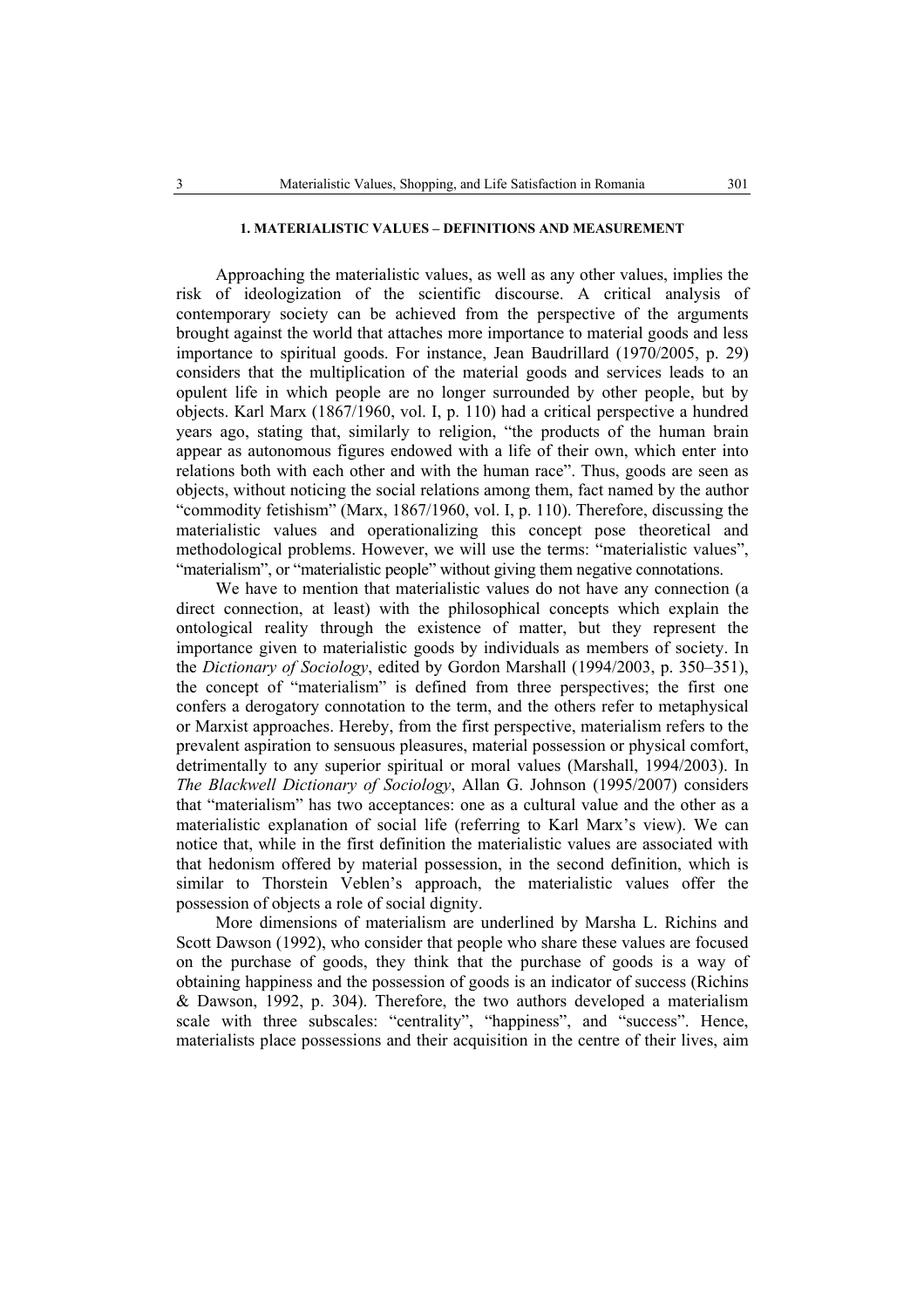# **1. MATERIALISTIC VALUES – DEFINITIONS AND MEASUREMENT**

Approaching the materialistic values, as well as any other values, implies the risk of ideologization of the scientific discourse. A critical analysis of contemporary society can be achieved from the perspective of the arguments brought against the world that attaches more importance to material goods and less importance to spiritual goods. For instance, Jean Baudrillard (1970/2005, p. 29) considers that the multiplication of the material goods and services leads to an opulent life in which people are no longer surrounded by other people, but by objects. Karl Marx (1867/1960, vol. I, p. 110) had a critical perspective a hundred years ago, stating that, similarly to religion, "the products of the human brain appear as autonomous figures endowed with a life of their own, which enter into relations both with each other and with the human race". Thus, goods are seen as objects, without noticing the social relations among them, fact named by the author "commodity fetishism" (Marx, 1867/1960, vol. I, p. 110). Therefore, discussing the materialistic values and operationalizing this concept pose theoretical and methodological problems. However, we will use the terms: "materialistic values", "materialism", or "materialistic people" without giving them negative connotations.

We have to mention that materialistic values do not have any connection (a direct connection, at least) with the philosophical concepts which explain the ontological reality through the existence of matter, but they represent the importance given to materialistic goods by individuals as members of society. In the *Dictionary of Sociology*, edited by Gordon Marshall (1994/2003, p. 350–351), the concept of "materialism" is defined from three perspectives; the first one confers a derogatory connotation to the term, and the others refer to metaphysical or Marxist approaches. Hereby, from the first perspective, materialism refers to the prevalent aspiration to sensuous pleasures, material possession or physical comfort, detrimentally to any superior spiritual or moral values (Marshall, 1994/2003). In *The Blackwell Dictionary of Sociology*, Allan G. Johnson (1995/2007) considers that "materialism" has two acceptances: one as a cultural value and the other as a materialistic explanation of social life (referring to Karl Marx's view). We can notice that, while in the first definition the materialistic values are associated with that hedonism offered by material possession, in the second definition, which is similar to Thorstein Veblen's approach, the materialistic values offer the possession of objects a role of social dignity.

More dimensions of materialism are underlined by Marsha L. Richins and Scott Dawson (1992), who consider that people who share these values are focused on the purchase of goods, they think that the purchase of goods is a way of obtaining happiness and the possession of goods is an indicator of success (Richins & Dawson, 1992, p. 304). Therefore, the two authors developed a materialism scale with three subscales: "centrality", "happiness", and "success". Hence, materialists place possessions and their acquisition in the centre of their lives, aim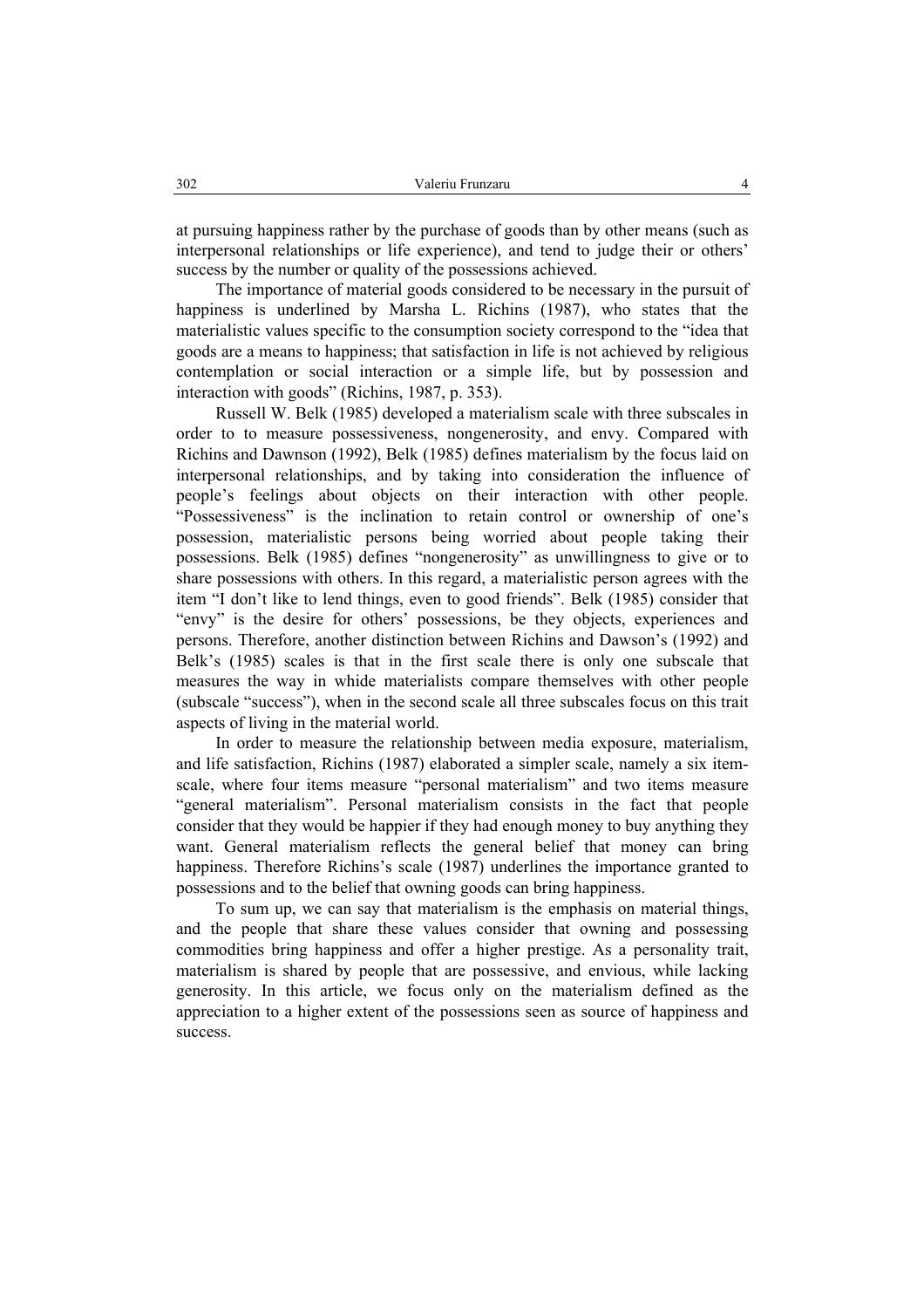at pursuing happiness rather by the purchase of goods than by other means (such as interpersonal relationships or life experience), and tend to judge their or others' success by the number or quality of the possessions achieved.

The importance of material goods considered to be necessary in the pursuit of happiness is underlined by Marsha L. Richins (1987), who states that the materialistic values specific to the consumption society correspond to the "idea that goods are a means to happiness; that satisfaction in life is not achieved by religious contemplation or social interaction or a simple life, but by possession and interaction with goods" (Richins, 1987, p. 353).

Russell W. Belk (1985) developed a materialism scale with three subscales in order to to measure possessiveness, nongenerosity, and envy. Compared with Richins and Dawnson (1992), Belk (1985) defines materialism by the focus laid on interpersonal relationships, and by taking into consideration the influence of people's feelings about objects on their interaction with other people. "Possessiveness" is the inclination to retain control or ownership of one's possession, materialistic persons being worried about people taking their possessions. Belk (1985) defines "nongenerosity" as unwillingness to give or to share possessions with others. In this regard, a materialistic person agrees with the item "I don't like to lend things, even to good friends". Belk (1985) consider that "envy" is the desire for others' possessions, be they objects, experiences and persons. Therefore, another distinction between Richins and Dawson's (1992) and Belk's (1985) scales is that in the first scale there is only one subscale that measures the way in whide materialists compare themselves with other people (subscale "success"), when in the second scale all three subscales focus on this trait aspects of living in the material world.

In order to measure the relationship between media exposure, materialism, and life satisfaction, Richins (1987) elaborated a simpler scale, namely a six itemscale, where four items measure "personal materialism" and two items measure "general materialism". Personal materialism consists in the fact that people consider that they would be happier if they had enough money to buy anything they want. General materialism reflects the general belief that money can bring happiness. Therefore Richins's scale (1987) underlines the importance granted to possessions and to the belief that owning goods can bring happiness.

To sum up, we can say that materialism is the emphasis on material things, and the people that share these values consider that owning and possessing commodities bring happiness and offer a higher prestige. As a personality trait, materialism is shared by people that are possessive, and envious, while lacking generosity. In this article, we focus only on the materialism defined as the appreciation to a higher extent of the possessions seen as source of happiness and success.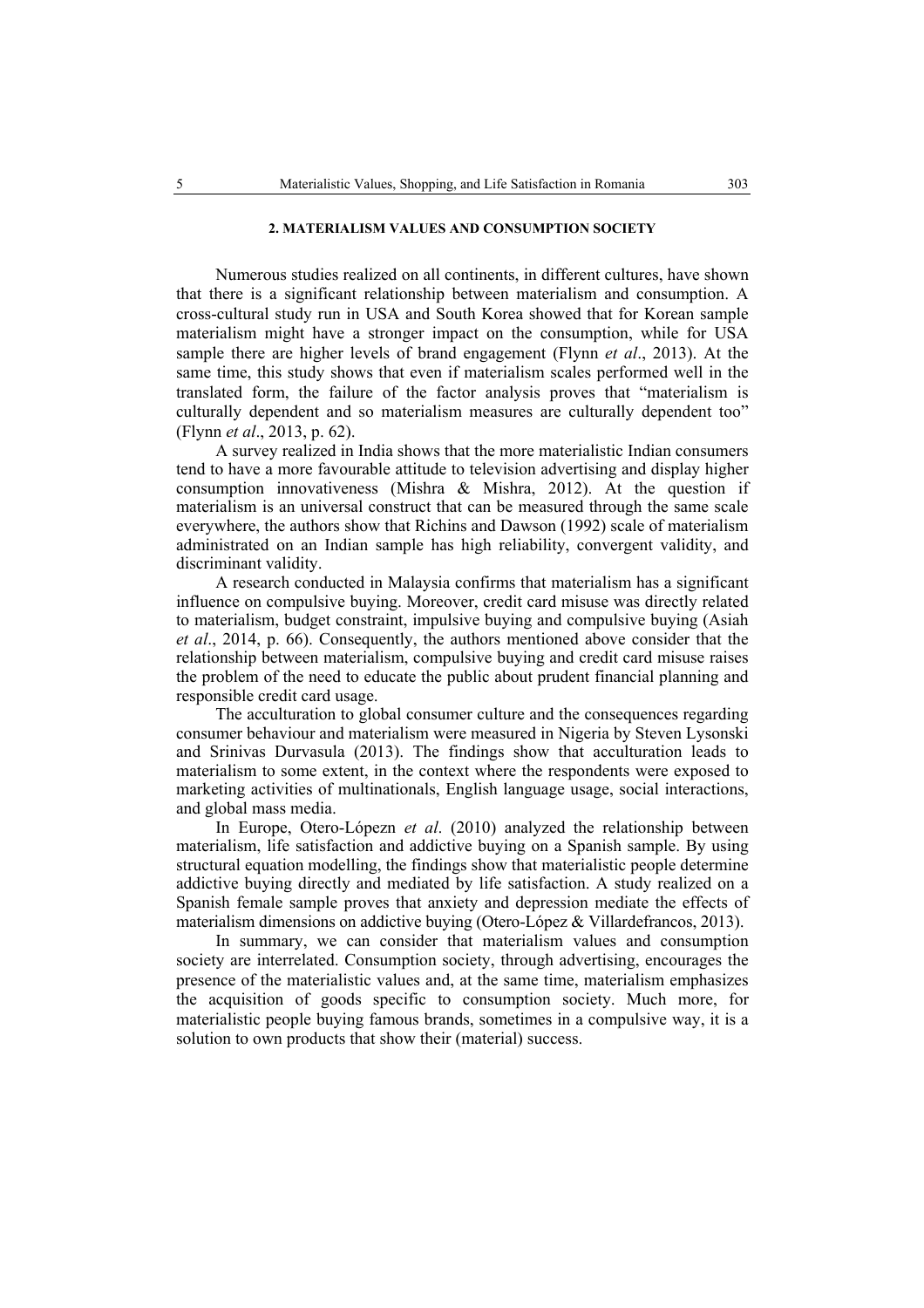# **2. MATERIALISM VALUES AND CONSUMPTION SOCIETY**

Numerous studies realized on all continents, in different cultures, have shown that there is a significant relationship between materialism and consumption. A cross-cultural study run in USA and South Korea showed that for Korean sample materialism might have a stronger impact on the consumption, while for USA sample there are higher levels of brand engagement (Flynn *et al*., 2013). At the same time, this study shows that even if materialism scales performed well in the translated form, the failure of the factor analysis proves that "materialism is culturally dependent and so materialism measures are culturally dependent too" (Flynn *et al*., 2013, p. 62).

A survey realized in India shows that the more materialistic Indian consumers tend to have a more favourable attitude to television advertising and display higher consumption innovativeness (Mishra & Mishra, 2012). At the question if materialism is an universal construct that can be measured through the same scale everywhere, the authors show that Richins and Dawson (1992) scale of materialism administrated on an Indian sample has high reliability, convergent validity, and discriminant validity.

A research conducted in Malaysia confirms that materialism has a significant influence on compulsive buying. Moreover, credit card misuse was directly related to materialism, budget constraint, impulsive buying and compulsive buying (Asiah *et al*., 2014, p. 66). Consequently, the authors mentioned above consider that the relationship between materialism, compulsive buying and credit card misuse raises the problem of the need to educate the public about prudent financial planning and responsible credit card usage.

The acculturation to global consumer culture and the consequences regarding consumer behaviour and materialism were measured in Nigeria by Steven Lysonski and Srinivas Durvasula (2013). The findings show that acculturation leads to materialism to some extent, in the context where the respondents were exposed to marketing activities of multinationals, English language usage, social interactions, and global mass media.

In Europe, Otero-Lópezn *et al*. (2010) analyzed the relationship between materialism, life satisfaction and addictive buying on a Spanish sample. By using structural equation modelling, the findings show that materialistic people determine addictive buying directly and mediated by life satisfaction. A study realized on a Spanish female sample proves that anxiety and depression mediate the effects of materialism dimensions on addictive buying (Otero-López & Villardefrancos, 2013).

In summary, we can consider that materialism values and consumption society are interrelated. Consumption society, through advertising, encourages the presence of the materialistic values and, at the same time, materialism emphasizes the acquisition of goods specific to consumption society. Much more, for materialistic people buying famous brands, sometimes in a compulsive way, it is a solution to own products that show their (material) success.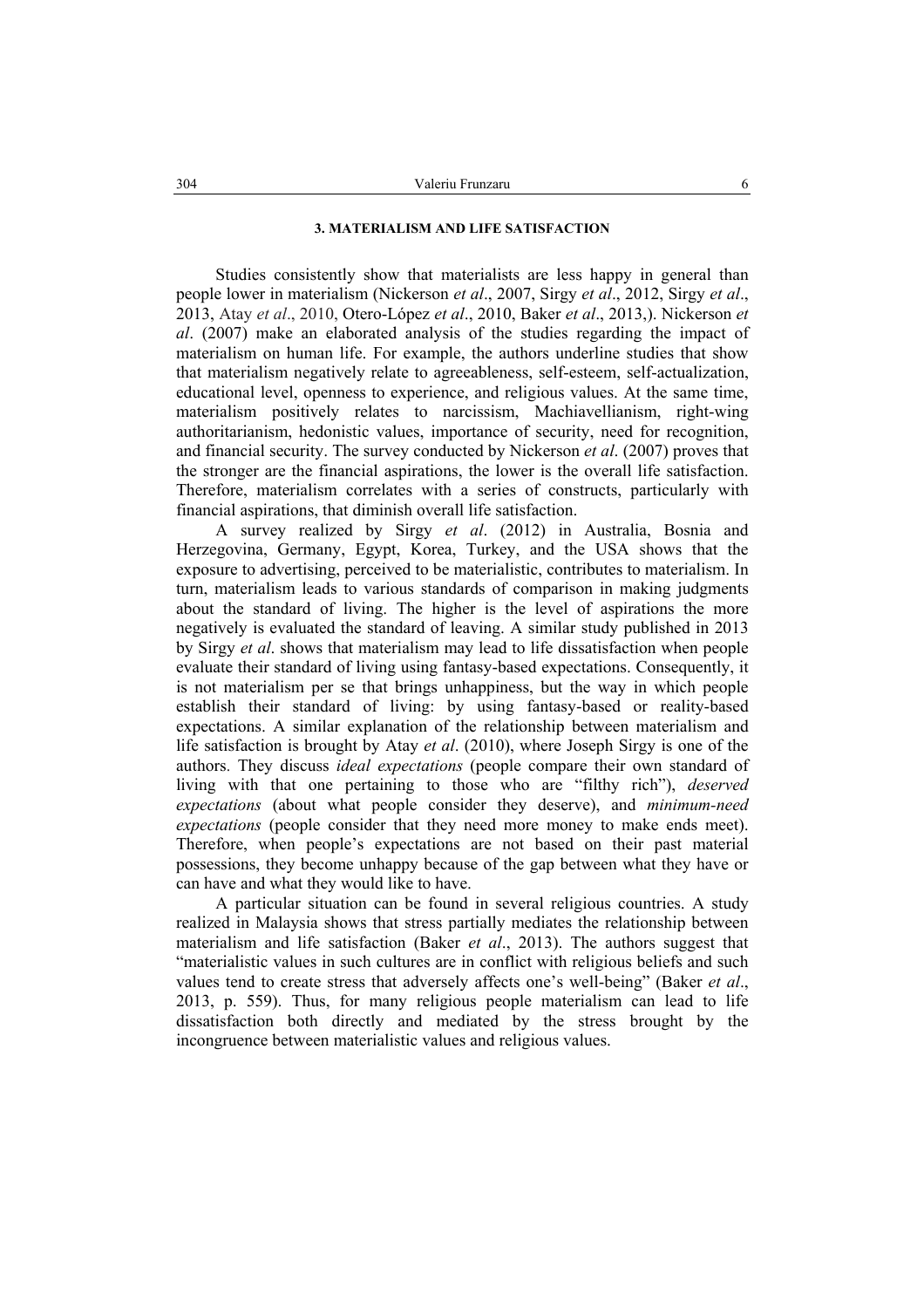# **3. MATERIALISM AND LIFE SATISFACTION**

Studies consistently show that materialists are less happy in general than people lower in materialism (Nickerson *et al*., 2007, Sirgy *et al*., 2012, Sirgy *et al*., 2013, Atay *et al*., 2010, Otero-López *et al*., 2010, Baker *et al*., 2013,). Nickerson *et al*. (2007) make an elaborated analysis of the studies regarding the impact of materialism on human life. For example, the authors underline studies that show that materialism negatively relate to agreeableness, self-esteem, self-actualization, educational level, openness to experience, and religious values. At the same time, materialism positively relates to narcissism, Machiavellianism, right-wing authoritarianism, hedonistic values, importance of security, need for recognition, and financial security. The survey conducted by Nickerson *et al*. (2007) proves that the stronger are the financial aspirations, the lower is the overall life satisfaction. Therefore, materialism correlates with a series of constructs, particularly with financial aspirations, that diminish overall life satisfaction.

A survey realized by Sirgy *et al*. (2012) in Australia, Bosnia and Herzegovina, Germany, Egypt, Korea, Turkey, and the USA shows that the exposure to advertising, perceived to be materialistic, contributes to materialism. In turn, materialism leads to various standards of comparison in making judgments about the standard of living. The higher is the level of aspirations the more negatively is evaluated the standard of leaving. A similar study published in 2013 by Sirgy *et al*. shows that materialism may lead to life dissatisfaction when people evaluate their standard of living using fantasy-based expectations. Consequently, it is not materialism per se that brings unhappiness, but the way in which people establish their standard of living: by using fantasy-based or reality-based expectations. A similar explanation of the relationship between materialism and life satisfaction is brought by Atay *et al*. (2010), where Joseph Sirgy is one of the authors. They discuss *ideal expectations* (people compare their own standard of living with that one pertaining to those who are "filthy rich"), *deserved expectations* (about what people consider they deserve), and *minimum-need expectations* (people consider that they need more money to make ends meet). Therefore, when people's expectations are not based on their past material possessions, they become unhappy because of the gap between what they have or can have and what they would like to have.

A particular situation can be found in several religious countries. A study realized in Malaysia shows that stress partially mediates the relationship between materialism and life satisfaction (Baker *et al*., 2013). The authors suggest that "materialistic values in such cultures are in conflict with religious beliefs and such values tend to create stress that adversely affects one's well-being" (Baker *et al*., 2013, p. 559). Thus, for many religious people materialism can lead to life dissatisfaction both directly and mediated by the stress brought by the incongruence between materialistic values and religious values.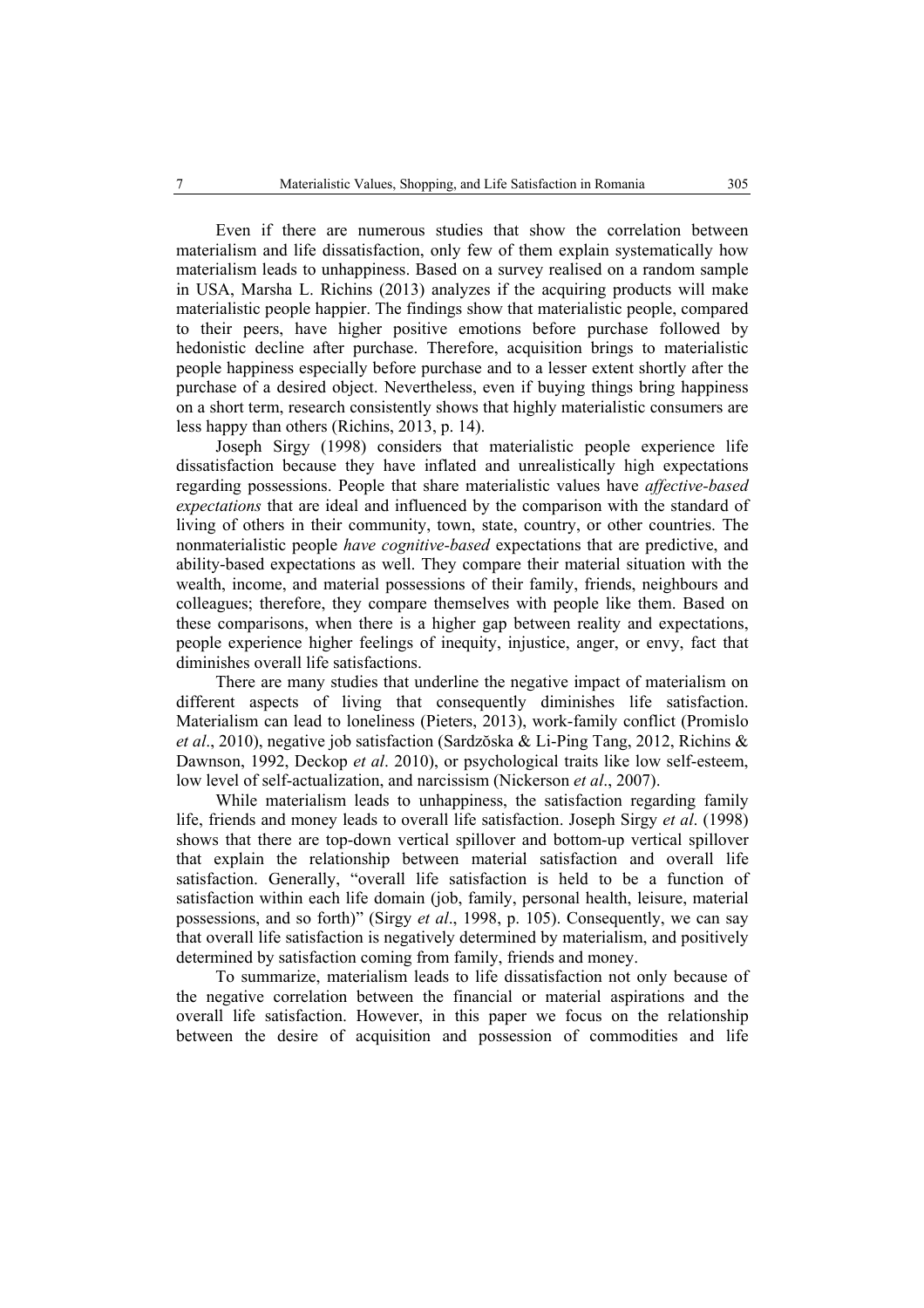Even if there are numerous studies that show the correlation between materialism and life dissatisfaction, only few of them explain systematically how materialism leads to unhappiness. Based on a survey realised on a random sample in USA, Marsha L. Richins (2013) analyzes if the acquiring products will make materialistic people happier. The findings show that materialistic people, compared to their peers, have higher positive emotions before purchase followed by hedonistic decline after purchase. Therefore, acquisition brings to materialistic people happiness especially before purchase and to a lesser extent shortly after the purchase of a desired object. Nevertheless, even if buying things bring happiness on a short term, research consistently shows that highly materialistic consumers are less happy than others (Richins, 2013, p. 14).

Joseph Sirgy (1998) considers that materialistic people experience life dissatisfaction because they have inflated and unrealistically high expectations regarding possessions. People that share materialistic values have *affective-based expectations* that are ideal and influenced by the comparison with the standard of living of others in their community, town, state, country, or other countries. The nonmaterialistic people *have cognitive-based* expectations that are predictive, and ability-based expectations as well. They compare their material situation with the wealth, income, and material possessions of their family, friends, neighbours and colleagues; therefore, they compare themselves with people like them. Based on these comparisons, when there is a higher gap between reality and expectations, people experience higher feelings of inequity, injustice, anger, or envy, fact that diminishes overall life satisfactions.

There are many studies that underline the negative impact of materialism on different aspects of living that consequently diminishes life satisfaction. Materialism can lead to loneliness (Pieters, 2013), work-family conflict (Promislo *et al*., 2010), negative job satisfaction (Sardzŏska & Li-Ping Tang, 2012, Richins & Dawnson, 1992, Deckop *et al*. 2010), or psychological traits like low self-esteem, low level of self-actualization, and narcissism (Nickerson *et al*., 2007).

While materialism leads to unhappiness, the satisfaction regarding family life, friends and money leads to overall life satisfaction. Joseph Sirgy *et al*. (1998) shows that there are top-down vertical spillover and bottom-up vertical spillover that explain the relationship between material satisfaction and overall life satisfaction. Generally, "overall life satisfaction is held to be a function of satisfaction within each life domain (job, family, personal health, leisure, material possessions, and so forth)" (Sirgy *et al*., 1998, p. 105). Consequently, we can say that overall life satisfaction is negatively determined by materialism, and positively determined by satisfaction coming from family, friends and money.

To summarize, materialism leads to life dissatisfaction not only because of the negative correlation between the financial or material aspirations and the overall life satisfaction. However, in this paper we focus on the relationship between the desire of acquisition and possession of commodities and life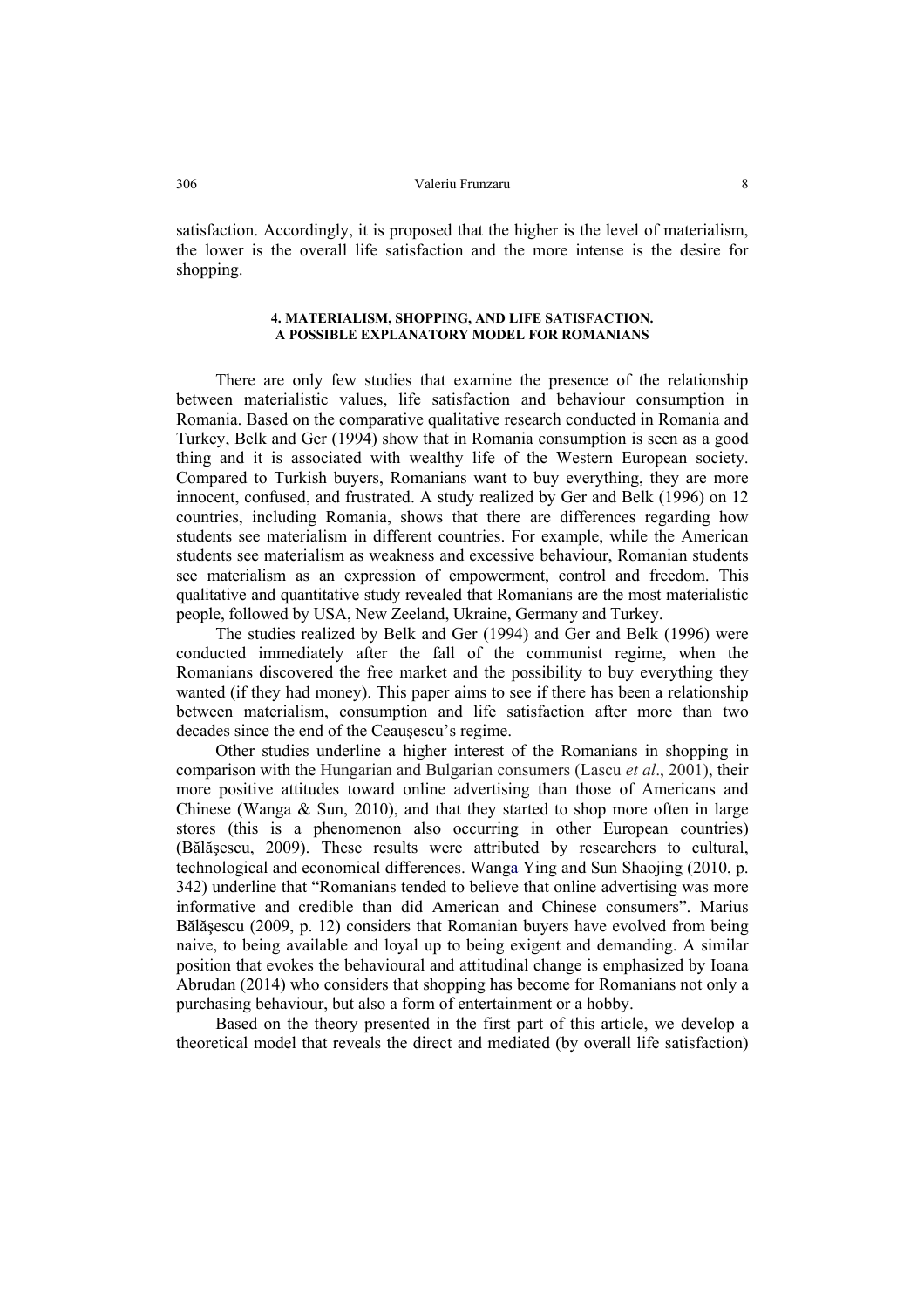satisfaction. Accordingly, it is proposed that the higher is the level of materialism, the lower is the overall life satisfaction and the more intense is the desire for shopping.

## **4. MATERIALISM, SHOPPING, AND LIFE SATISFACTION. A POSSIBLE EXPLANATORY MODEL FOR ROMANIANS**

There are only few studies that examine the presence of the relationship between materialistic values, life satisfaction and behaviour consumption in Romania. Based on the comparative qualitative research conducted in Romania and Turkey, Belk and Ger (1994) show that in Romania consumption is seen as a good thing and it is associated with wealthy life of the Western European society. Compared to Turkish buyers, Romanians want to buy everything, they are more innocent, confused, and frustrated. A study realized by Ger and Belk (1996) on 12 countries, including Romania, shows that there are differences regarding how students see materialism in different countries. For example, while the American students see materialism as weakness and excessive behaviour, Romanian students see materialism as an expression of empowerment, control and freedom. This qualitative and quantitative study revealed that Romanians are the most materialistic people, followed by USA, New Zeeland, Ukraine, Germany and Turkey.

The studies realized by Belk and Ger (1994) and Ger and Belk (1996) were conducted immediately after the fall of the communist regime, when the Romanians discovered the free market and the possibility to buy everything they wanted (if they had money). This paper aims to see if there has been a relationship between materialism, consumption and life satisfaction after more than two decades since the end of the Ceauşescu's regime.

Other studies underline a higher interest of the Romanians in shopping in comparison with the Hungarian and Bulgarian consumers (Lascu *et al*., 2001), their more positive attitudes toward online advertising than those of Americans and Chinese (Wanga & Sun, 2010), and that they started to shop more often in large stores (this is a phenomenon also occurring in other European countries) (Bălăşescu, 2009). These results were attributed by researchers to cultural, technological and economical differences. Wanga Ying and Sun Shaojing (2010, p. 342) underline that "Romanians tended to believe that online advertising was more informative and credible than did American and Chinese consumers". Marius Bălăşescu (2009, p. 12) considers that Romanian buyers have evolved from being naive, to being available and loyal up to being exigent and demanding. A similar position that evokes the behavioural and attitudinal change is emphasized by Ioana Abrudan (2014) who considers that shopping has become for Romanians not only a purchasing behaviour, but also a form of entertainment or a hobby.

Based on the theory presented in the first part of this article, we develop a theoretical model that reveals the direct and mediated (by overall life satisfaction)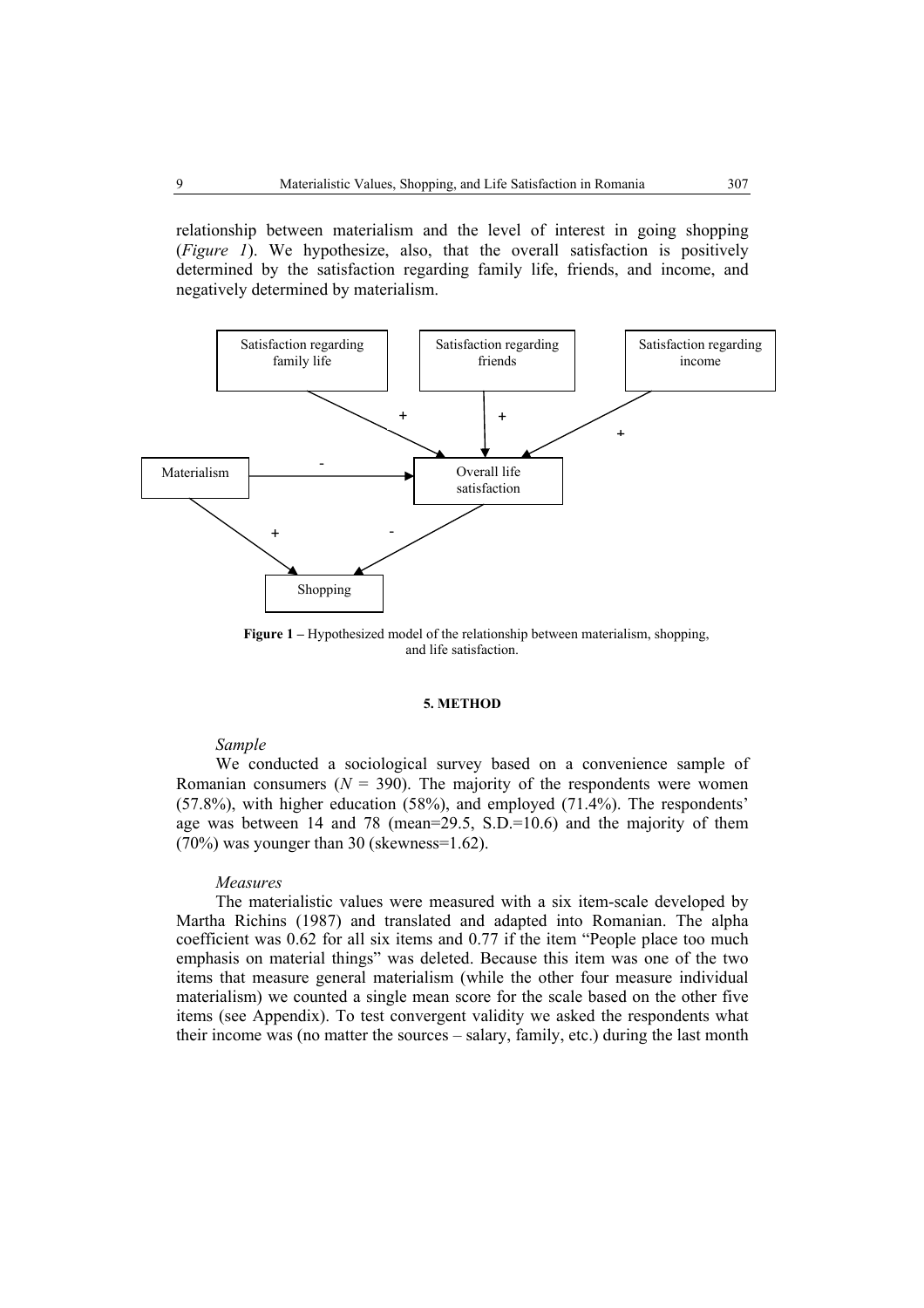relationship between materialism and the level of interest in going shopping (*Figure 1*). We hypothesize, also, that the overall satisfaction is positively determined by the satisfaction regarding family life, friends, and income, and negatively determined by materialism.



**Figure 1 –** Hypothesized model of the relationship between materialism, shopping, and life satisfaction.

# **5. METHOD**

### *Sample*

We conducted a sociological survey based on a convenience sample of Romanian consumers  $(N = 390)$ . The majority of the respondents were women (57.8%), with higher education (58%), and employed (71.4%). The respondents' age was between 14 and 78 (mean=29.5,  $S.D.=10.6$ ) and the majority of them (70%) was younger than 30 (skewness=1.62).

# *Measures*

The materialistic values were measured with a six item-scale developed by Martha Richins (1987) and translated and adapted into Romanian. The alpha coefficient was 0.62 for all six items and 0.77 if the item "People place too much emphasis on material things" was deleted. Because this item was one of the two items that measure general materialism (while the other four measure individual materialism) we counted a single mean score for the scale based on the other five items (see Appendix). To test convergent validity we asked the respondents what their income was (no matter the sources – salary, family, etc.) during the last month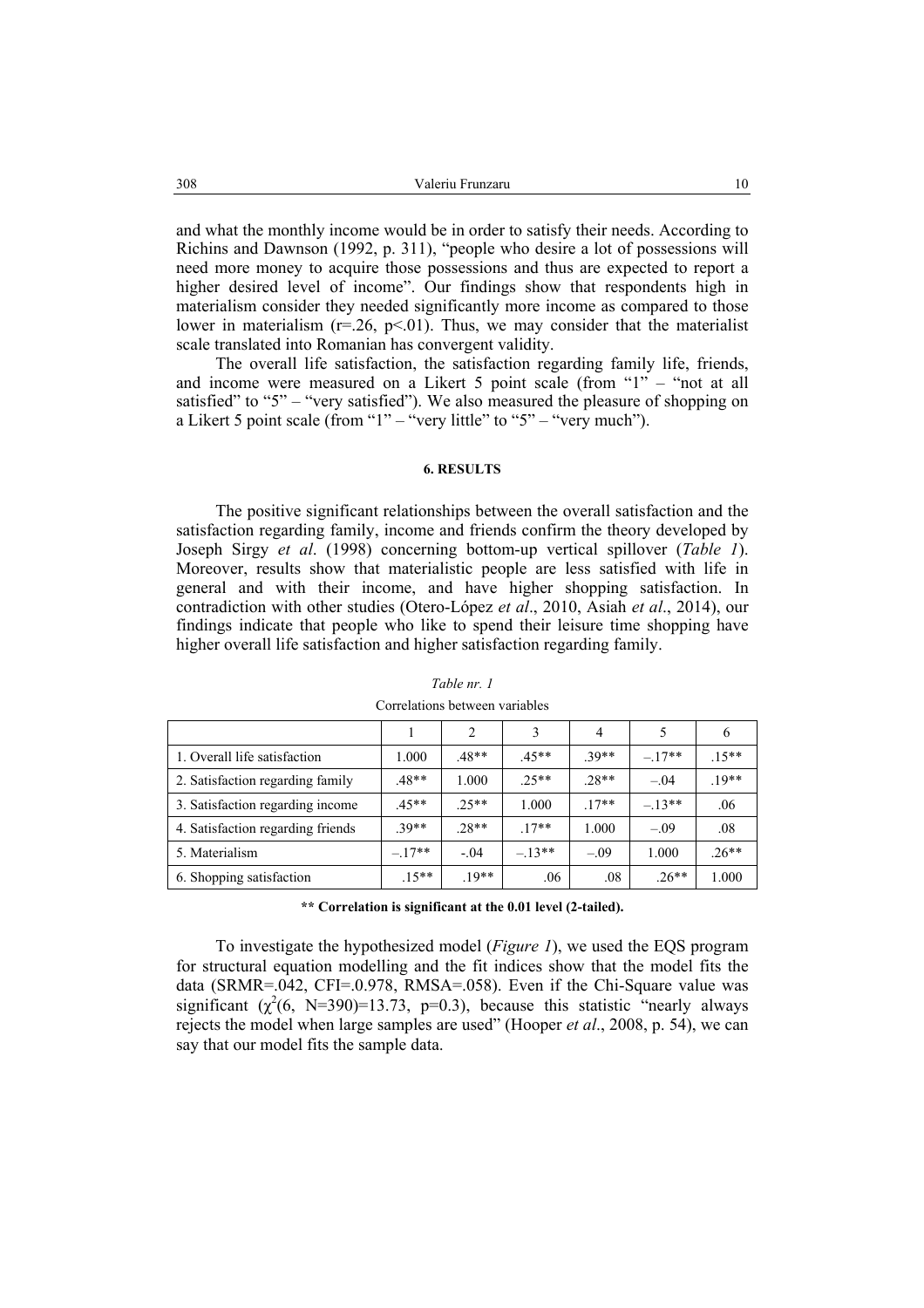and what the monthly income would be in order to satisfy their needs. According to Richins and Dawnson (1992, p. 311), "people who desire a lot of possessions will need more money to acquire those possessions and thus are expected to report a higher desired level of income". Our findings show that respondents high in materialism consider they needed significantly more income as compared to those lower in materialism ( $r=26$ ,  $p<01$ ). Thus, we may consider that the materialist scale translated into Romanian has convergent validity.

The overall life satisfaction, the satisfaction regarding family life, friends, and income were measured on a Likert 5 point scale (from "1" – "not at all satisfied" to "5" – "very satisfied"). We also measured the pleasure of shopping on a Likert 5 point scale (from "1" – "very little" to "5" – "very much").

#### **6. RESULTS**

The positive significant relationships between the overall satisfaction and the satisfaction regarding family, income and friends confirm the theory developed by Joseph Sirgy *et al*. (1998) concerning bottom-up vertical spillover (*Table 1*). Moreover, results show that materialistic people are less satisfied with life in general and with their income, and have higher shopping satisfaction. In contradiction with other studies (Otero-López *et al*., 2010, Asiah *et al*., 2014), our findings indicate that people who like to spend their leisure time shopping have higher overall life satisfaction and higher satisfaction regarding family.

|                                   |         | 2       |         | $\overline{4}$ |          | O       |
|-----------------------------------|---------|---------|---------|----------------|----------|---------|
| 1. Overall life satisfaction      | 1.000   | $.48**$ | $.45**$ | $39**$         | $-.17**$ | $.15**$ |
| 2. Satisfaction regarding family  | .48**   | 1.000   | $25**$  | $.28**$        | $-.04$   | $19**$  |
| 3. Satisfaction regarding income  | $.45**$ | $25**$  | 1.000   | $17**$         | $-13**$  | .06     |
| 4. Satisfaction regarding friends | $39**$  | 28**    | $17**$  | 1.000          | $-.09$   | .08     |
| 5. Materialism                    | $-17**$ | $-.04$  | $-13**$ | $-.09$         | 1.000    | $.26**$ |
| 6. Shopping satisfaction          | $.15**$ | $19**$  | .06     | .08            | $.26**$  | 1.000   |

*Table nr. 1*  Correlations between variables

**\*\* Correlation is significant at the 0.01 level (2-tailed).** 

To investigate the hypothesized model (*Figure 1*), we used the EQS program for structural equation modelling and the fit indices show that the model fits the data (SRMR=.042, CFI=.0.978, RMSA=.058). Even if the Chi-Square value was significant  $(\chi^2(6, N=390)=13.73, p=0.3)$ , because this statistic "nearly always rejects the model when large samples are used" (Hooper *et al*., 2008, p. 54), we can say that our model fits the sample data.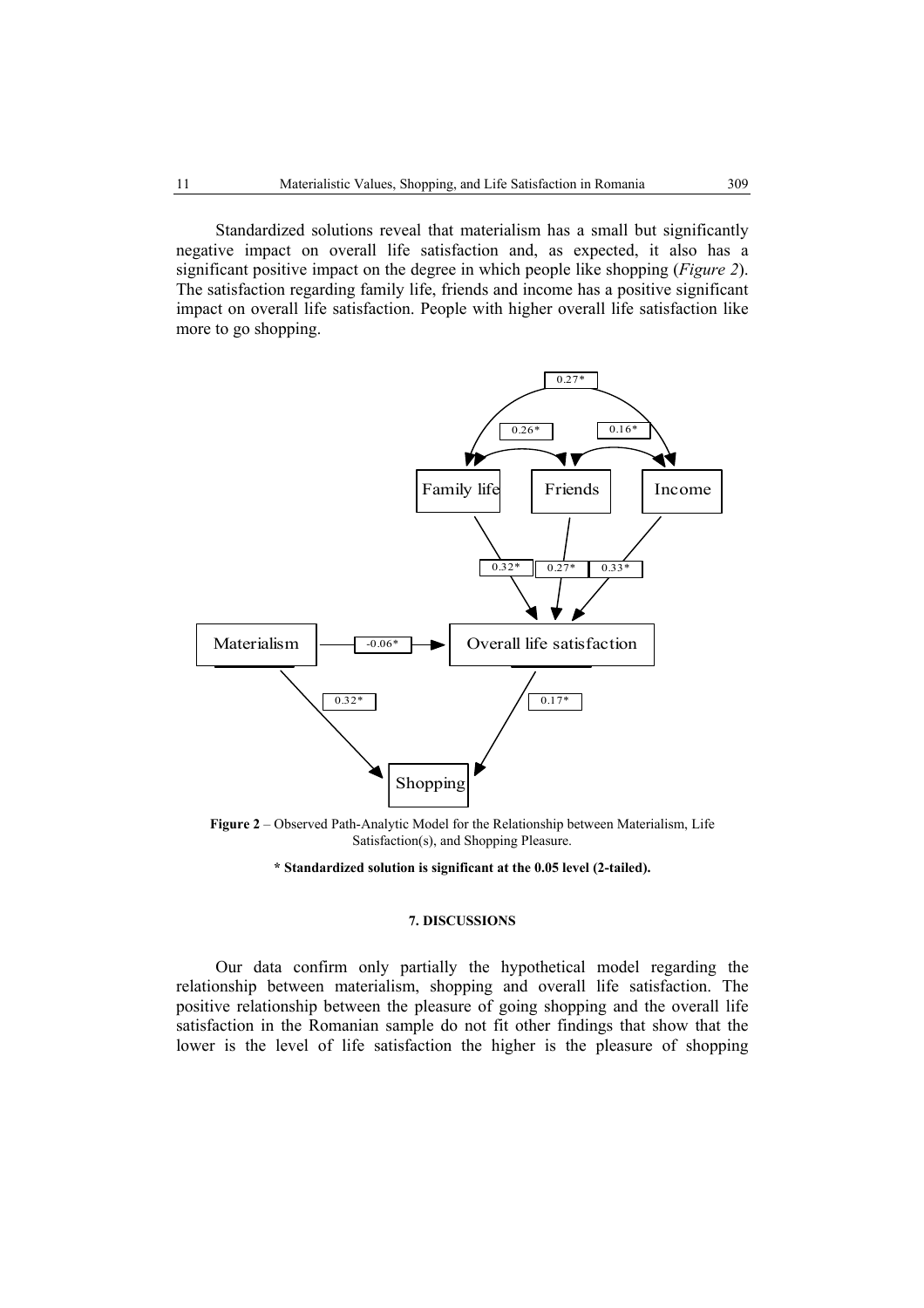Standardized solutions reveal that materialism has a small but significantly negative impact on overall life satisfaction and, as expected, it also has a significant positive impact on the degree in which people like shopping (*Figure 2*). The satisfaction regarding family life, friends and income has a positive significant impact on overall life satisfaction. People with higher overall life satisfaction like more to go shopping.



**Figure 2** – Observed Path-Analytic Model for the Relationship between Materialism, Life Satisfaction(s), and Shopping Pleasure.

### **\* Standardized solution is significant at the 0.05 level (2-tailed).**

#### **7. DISCUSSIONS**

Our data confirm only partially the hypothetical model regarding the relationship between materialism, shopping and overall life satisfaction. The positive relationship between the pleasure of going shopping and the overall life satisfaction in the Romanian sample do not fit other findings that show that the lower is the level of life satisfaction the higher is the pleasure of shopping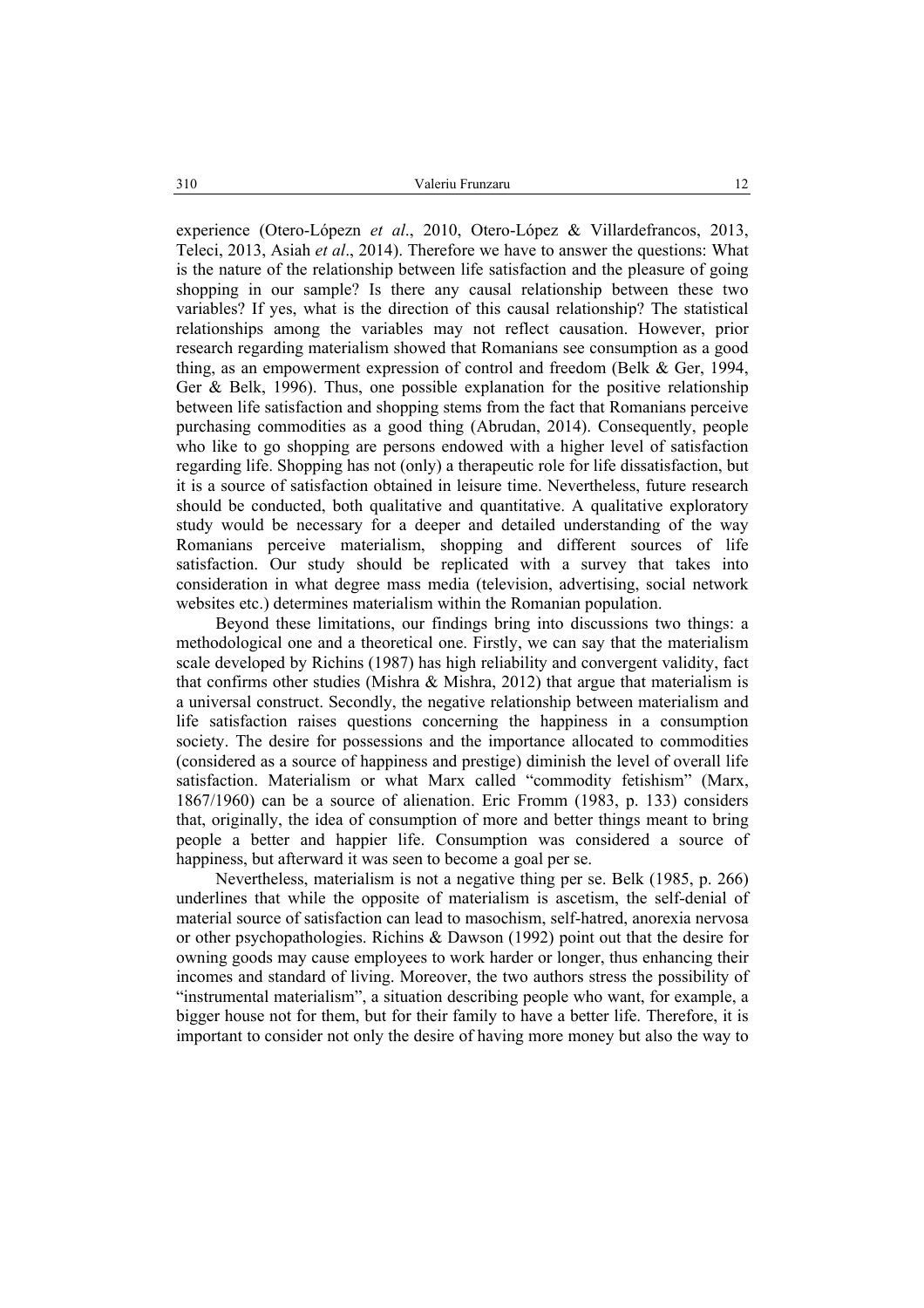experience (Otero-Lópezn *et al*., 2010, Otero-López & Villardefrancos, 2013, Teleci, 2013, Asiah *et al*., 2014). Therefore we have to answer the questions: What is the nature of the relationship between life satisfaction and the pleasure of going shopping in our sample? Is there any causal relationship between these two variables? If yes, what is the direction of this causal relationship? The statistical relationships among the variables may not reflect causation. However, prior research regarding materialism showed that Romanians see consumption as a good thing, as an empowerment expression of control and freedom (Belk & Ger, 1994, Ger & Belk, 1996). Thus, one possible explanation for the positive relationship between life satisfaction and shopping stems from the fact that Romanians perceive purchasing commodities as a good thing (Abrudan, 2014). Consequently, people who like to go shopping are persons endowed with a higher level of satisfaction regarding life. Shopping has not (only) a therapeutic role for life dissatisfaction, but it is a source of satisfaction obtained in leisure time. Nevertheless, future research should be conducted, both qualitative and quantitative. A qualitative exploratory study would be necessary for a deeper and detailed understanding of the way Romanians perceive materialism, shopping and different sources of life satisfaction. Our study should be replicated with a survey that takes into consideration in what degree mass media (television, advertising, social network websites etc.) determines materialism within the Romanian population.

Beyond these limitations, our findings bring into discussions two things: a methodological one and a theoretical one. Firstly, we can say that the materialism scale developed by Richins (1987) has high reliability and convergent validity, fact that confirms other studies (Mishra  $\&$  Mishra, 2012) that argue that materialism is a universal construct. Secondly, the negative relationship between materialism and life satisfaction raises questions concerning the happiness in a consumption society. The desire for possessions and the importance allocated to commodities (considered as a source of happiness and prestige) diminish the level of overall life satisfaction. Materialism or what Marx called "commodity fetishism" (Marx, 1867/1960) can be a source of alienation. Eric Fromm (1983, p. 133) considers that, originally, the idea of consumption of more and better things meant to bring people a better and happier life. Consumption was considered a source of happiness, but afterward it was seen to become a goal per se.

Nevertheless, materialism is not a negative thing per se. Belk (1985, p. 266) underlines that while the opposite of materialism is ascetism, the self-denial of material source of satisfaction can lead to masochism, self-hatred, anorexia nervosa or other psychopathologies. Richins & Dawson (1992) point out that the desire for owning goods may cause employees to work harder or longer, thus enhancing their incomes and standard of living. Moreover, the two authors stress the possibility of "instrumental materialism", a situation describing people who want, for example, a bigger house not for them, but for their family to have a better life. Therefore, it is important to consider not only the desire of having more money but also the way to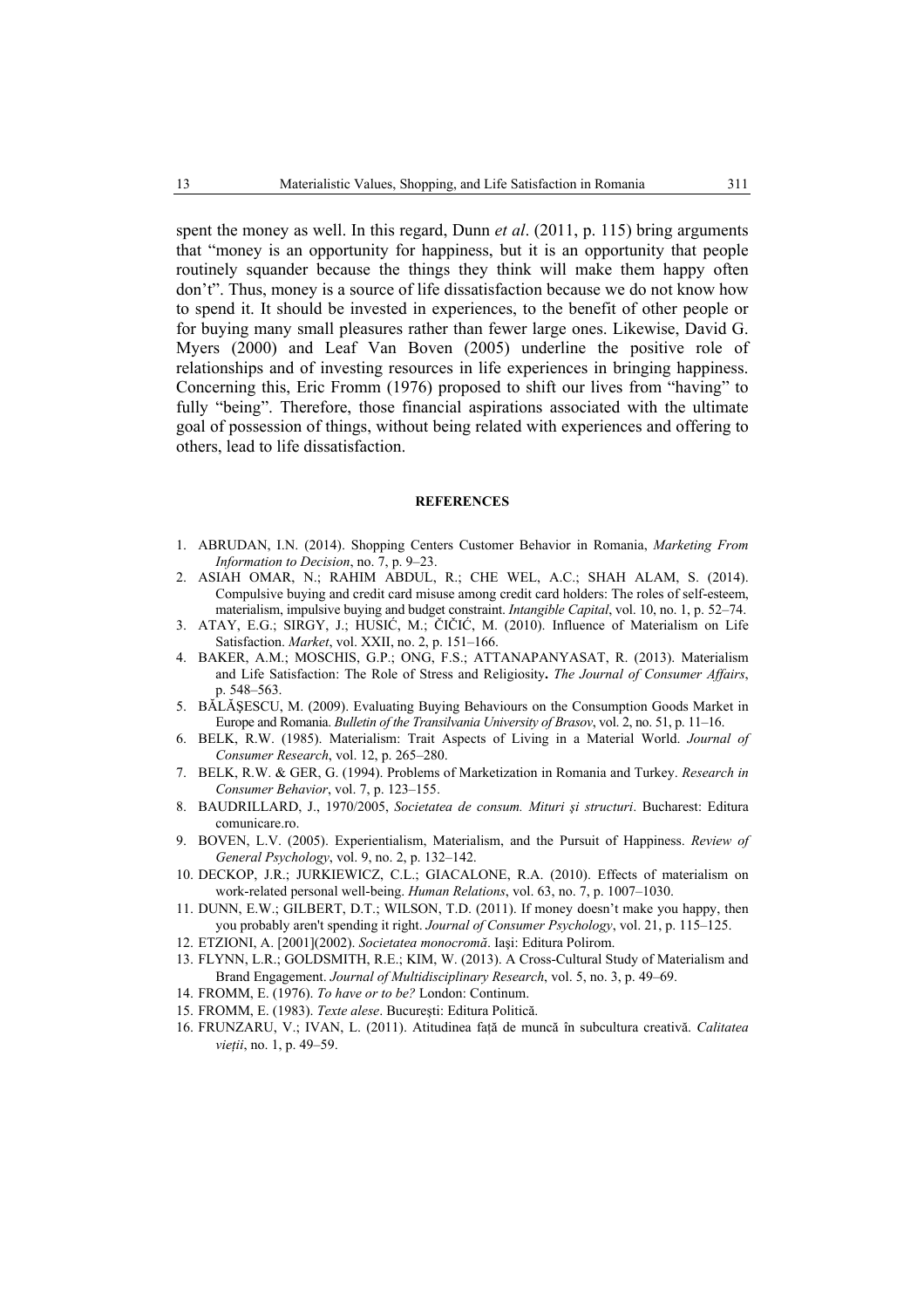spent the money as well. In this regard, Dunn *et al*. (2011, p. 115) bring arguments that "money is an opportunity for happiness, but it is an opportunity that people routinely squander because the things they think will make them happy often don't". Thus, money is a source of life dissatisfaction because we do not know how to spend it. It should be invested in experiences, to the benefit of other people or for buying many small pleasures rather than fewer large ones. Likewise, David G. Myers (2000) and Leaf Van Boven (2005) underline the positive role of relationships and of investing resources in life experiences in bringing happiness. Concerning this, Eric Fromm (1976) proposed to shift our lives from "having" to fully "being". Therefore, those financial aspirations associated with the ultimate goal of possession of things, without being related with experiences and offering to others, lead to life dissatisfaction.

### **REFERENCES**

- 1. ABRUDAN, I.N. (2014). Shopping Centers Customer Behavior in Romania, *Marketing From Information to Decision*, no. 7, p. 9–23.
- 2. ASIAH OMAR, N.; RAHIM ABDUL, R.; CHE WEL, A.C.; SHAH ALAM, S. (2014). Compulsive buying and credit card misuse among credit card holders: The roles of self-esteem, materialism, impulsive buying and budget constraint. *Intangible Capital*, vol. 10, no. 1, p. 52–74.
- 3. ATAY, E.G.; SIRGY, J.; HUSIĆ, M.; ČIČIĆ, M. (2010). Influence of Materialism on Life Satisfaction. *Market*, vol. XXII, no. 2, p. 151–166.
- 4. BAKER, A.M.; MOSCHIS, G.P.; ONG, F.S.; ATTANAPANYASAT, R. (2013). Materialism and Life Satisfaction: The Role of Stress and Religiosity**.** *The Journal of Consumer Affairs*, p. 548–563.
- 5. BĂLĂŞESCU, M. (2009). Evaluating Buying Behaviours on the Consumption Goods Market in Europe and Romania. *Bulletin of the Transilvania University of Brasov*, vol. 2, no. 51, p. 11–16.
- 6. BELK, R.W. (1985). Materialism: Trait Aspects of Living in a Material World. *Journal of Consumer Research*, vol. 12, p. 265–280.
- 7. BELK, R.W. & GER, G. (1994). Problems of Marketization in Romania and Turkey. *Research in Consumer Behavior*, vol. 7, p. 123–155.
- 8. BAUDRILLARD, J., 1970/2005, *Societatea de consum. Mituri şi structuri*. Bucharest: Editura comunicare.ro.
- 9. BOVEN, L.V. (2005). Experientialism, Materialism, and the Pursuit of Happiness. *Review of General Psychology*, vol. 9, no. 2, p. 132–142.
- 10. DECKOP, J.R.; JURKIEWICZ, C.L.; GIACALONE, R.A. (2010). Effects of materialism on work-related personal well-being. *Human Relations*, vol. 63, no. 7, p. 1007–1030.
- 11. DUNN, E.W.; GILBERT, D.T.; WILSON, T.D. (2011). If money doesn't make you happy, then you probably aren't spending it right. *Journal of Consumer Psychology*, vol. 21, p. 115–125.
- 12. ETZIONI, A. [2001](2002). *Societatea monocromă*. Iaşi: Editura Polirom.
- 13. FLYNN, L.R.; GOLDSMITH, R.E.; KIM, W. (2013). A Cross-Cultural Study of Materialism and Brand Engagement. *Journal of Multidisciplinary Research*, vol. 5, no. 3, p. 49–69.
- 14. FROMM, E. (1976). *To have or to be?* London: Continum.
- 15. FROMM, E. (1983). *Texte alese*. Bucureşti: Editura Politică.
- 16. FRUNZARU, V.; IVAN, L. (2011). Atitudinea faţă de muncă în subcultura creativă. *Calitatea vieţii*, no. 1, p. 49–59.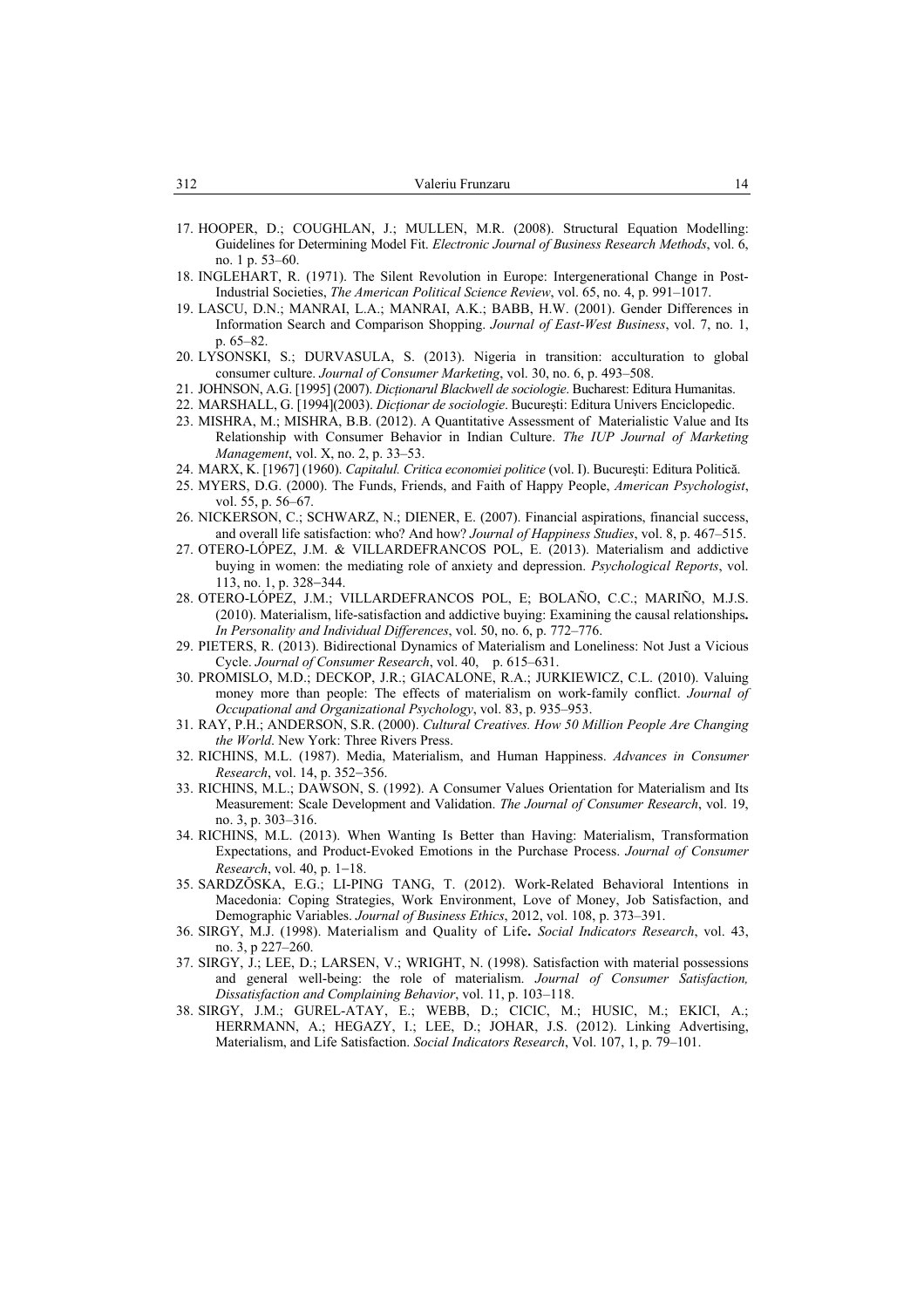- 17. HOOPER, D.; COUGHLAN, J.; MULLEN, M.R. (2008). Structural Equation Modelling: Guidelines for Determining Model Fit. *Electronic Journal of Business Research Methods*, vol. 6, no. 1 p. 53–60.
- 18. INGLEHART, R. (1971). The Silent Revolution in Europe: Intergenerational Change in Post-Industrial Societies, *The American Political Science Review*, vol. 65, no. 4, p. 991–1017.
- 19. LASCU, D.N.; MANRAI, L.A.; MANRAI, A.K.; BABB, H.W. (2001). Gender Differences in Information Search and Comparison Shopping. *Journal of East-West Business*, vol. 7, no. 1, p. 65–82.
- 20. LYSONSKI, S.; DURVASULA, S. (2013). Nigeria in transition: acculturation to global consumer culture. *Journal of Consumer Marketing*, vol. 30, no. 6, p. 493–508.
- 21. JOHNSON, A.G. [1995] (2007). *Dicţionarul Blackwell de sociologie*. Bucharest: Editura Humanitas.
- 22. MARSHALL, G. [1994](2003). *Dicţionar de sociologie*. Bucureşti: Editura Univers Enciclopedic.
- 23. MISHRA, M.; MISHRA, B.B. (2012). A Quantitative Assessment of Materialistic Value and Its Relationship with Consumer Behavior in Indian Culture. *The IUP Journal of Marketing Management*, vol. X, no. 2, p. 33–53.
- 24. MARX, K. [1967] (1960). *Capitalul. Critica economiei politice* (vol. I). Bucureşti: Editura Politică.
- 25. MYERS, D.G. (2000). The Funds, Friends, and Faith of Happy People, *American Psychologist*, vol. 55, p. 56–67.
- 26. NICKERSON, C.; SCHWARZ, N.; DIENER, E. (2007). Financial aspirations, financial success, and overall life satisfaction: who? And how? *Journal of Happiness Studies*, vol. 8, p. 467–515.
- 27. OTERO-LÓPEZ, J.M. & VILLARDEFRANCOS POL, E. (2013). Materialism and addictive buying in women: the mediating role of anxiety and depression. *Psychological Reports*, vol. 113, no. 1, p. 328−344.
- 28. OTERO-LÓPEZ, J.M.; VILLARDEFRANCOS POL, E; BOLAÑO, C.C.; MARIÑO, M.J.S. (2010). Materialism, life-satisfaction and addictive buying: Examining the causal relationships**.** *In Personality and Individual Differences*, vol. 50, no. 6, p. 772–776.
- 29. PIETERS, R. (2013). Bidirectional Dynamics of Materialism and Loneliness: Not Just a Vicious Cycle. *Journal of Consumer Research*, vol. 40, p. 615–631.
- 30. PROMISLO, M.D.; DECKOP, J.R.; GIACALONE, R.A.; JURKIEWICZ, C.L. (2010). Valuing money more than people: The effects of materialism on work-family conflict. *Journal of Occupational and Organizational Psychology*, vol. 83, p. 935–953.
- 31. RAY, P.H.; ANDERSON, S.R. (2000). *Cultural Creatives. How 50 Million People Are Changing the World*. New York: Three Rivers Press.
- 32. RICHINS, M.L. (1987). Media, Materialism, and Human Happiness. *Advances in Consumer Research*, vol. 14, p. 352−356.
- 33. RICHINS, M.L.; DAWSON, S. (1992). A Consumer Values Orientation for Materialism and Its Measurement: Scale Development and Validation. *The Journal of Consumer Research*, vol. 19, no. 3, p. 303–316.
- 34. RICHINS, M.L. (2013). When Wanting Is Better than Having: Materialism, Transformation Expectations, and Product-Evoked Emotions in the Purchase Process. *Journal of Consumer Research*, vol. 40, p. 1−18.
- 35. SARDZŎSKA, E.G.; LI-PING TANG, T. (2012). Work-Related Behavioral Intentions in Macedonia: Coping Strategies, Work Environment, Love of Money, Job Satisfaction, and Demographic Variables. *Journal of Business Ethics*, 2012, vol. 108, p. 373–391.
- 36. SIRGY, M.J. (1998). Materialism and Quality of Life**.** *Social Indicators Research*, vol. 43, no. 3, p 227–260.
- 37. SIRGY, J.; LEE, D.; LARSEN, V.; WRIGHT, N. (1998). Satisfaction with material possessions and general well-being: the role of materialism. *Journal of Consumer Satisfaction, Dissatisfaction and Complaining Behavior*, vol. 11, p. 103–118.
- 38. SIRGY, J.M.; GUREL-ATAY, E.; WEBB, D.; CICIC, M.; HUSIC, M.; EKICI, A.; HERRMANN, A.; HEGAZY, I.; LEE, D.; JOHAR, J.S. (2012). Linking Advertising, Materialism, and Life Satisfaction. *Social Indicators Research*, Vol. 107, 1, p. 79–101.